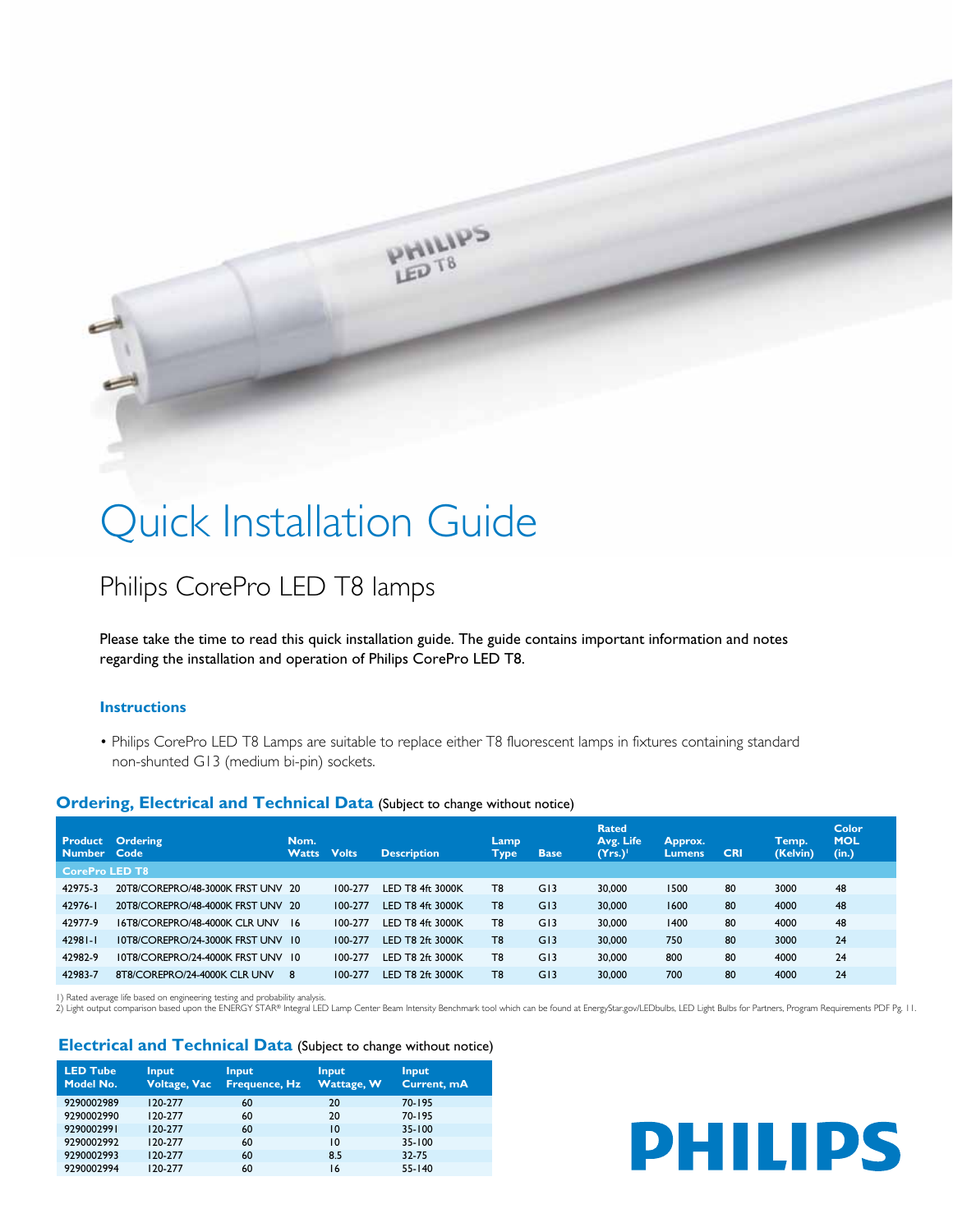

# Quick Installation Guide

## Philips CorePro LED T8 lamps

Please take the time to read this quick installation guide. The guide contains important information and notes regarding the installation and operation of Philips CorePro LED T8.

#### **Instructions**

• Philips CorePro LED T8 Lamps are suitable to replace either T8 fluorescent lamps in fixtures containing standard non-shunted G13 (medium bi-pin) sockets.

### **Ordering, Electrical and Technical Data** (Subject to change without notice)

| Number Code           | <b>Product Ordering</b>              | Nom.<br><b>Watts</b> | <b>Volts</b> | <b>Description</b> | Lamp<br>Type   | <b>Base</b> | <b>Rated</b><br>Avg. Life<br>(Yrs.) | Approx.<br><b>Lumens</b> | <b>CRI</b> | Temp.<br>(Kelvin) | Color<br><b>MOL</b><br>(in.) |
|-----------------------|--------------------------------------|----------------------|--------------|--------------------|----------------|-------------|-------------------------------------|--------------------------|------------|-------------------|------------------------------|
| <b>CorePro LED T8</b> |                                      |                      |              |                    |                |             |                                     |                          |            |                   |                              |
| 42975-3               | 20T8/COREPRO/48-3000K FRST UNV 20    |                      | 100-277      | LED T8 4ft 3000K   | T <sub>8</sub> | G13         | 30,000                              | 1500                     | 80         | 3000              | 48                           |
| 42976-1               | 20T8/COREPRO/48-4000K FRST UNV 20    |                      | 100-277      | LED T8 4ft 3000K   | T <sub>8</sub> | G13         | 30,000                              | 1600                     | 80         | 4000              | 48                           |
| 42977-9               | <b>ISTRICORFPRO/48-4000K CLR UNV</b> | -16                  | 100-277      | LED T8 4ft 3000K   | T <sub>8</sub> | G13         | 30,000                              | 1400                     | 80         | 4000              | 48                           |
| $42981 - 1$           | 10T8/COREPRO/24-3000K FRST UNV 10    |                      | 100-277      | LED T8 2ft 3000K   | T <sub>8</sub> | G13         | 30,000                              | 750                      | 80         | 3000              | 24                           |
| 42982-9               | 10T8/COREPRO/24-4000K FRST UNV 10    |                      | 100-277      | LED T8 2ft 3000K   | T <sub>8</sub> | G13         | 30,000                              | 800                      | 80         | 4000              | 24                           |
| 42983-7               | 8T8/COREPRO/24-4000K CLR UNV         | 8                    | 100-277      | LED T8 2ft 3000K   | T <sub>8</sub> | G13         | 30,000                              | 700                      | 80         | 4000              | 24                           |

I) Rated average life based on engineering testing and probability analysis.<br>2) Light output comparison based upon the ENERGY STAR® Integral LED Lamp Center Beam Intensity Benchmark tool which can be found at EnergyStar.go

#### **Electrical and Technical Data** (Subject to change without notice)

| <b>LED Tube</b><br>Model No. | <b>Input</b><br><b>Voltage, Vac</b> | <b>Input</b><br><b>Frequence, Hz</b> | <b>Input</b><br>Wattage, W | <b>Input</b><br>Current, mA |
|------------------------------|-------------------------------------|--------------------------------------|----------------------------|-----------------------------|
| 9290002989                   | 120-277                             | 60                                   | 20                         | $70 - 195$                  |
| 9290002990                   | 120-277                             | 60                                   | 20                         | $70 - 195$                  |
| 9290002991                   | 120-277                             | 60                                   | 10                         | $35 - 100$                  |
| 9290002992                   | 120-277                             | 60                                   | 10                         | 35-100                      |
| 9290002993                   | 120-277                             | 60                                   | 8.5                        | 32-75                       |
| 9290002994                   | 120-277                             | 60                                   | 16                         | $55 - 140$                  |

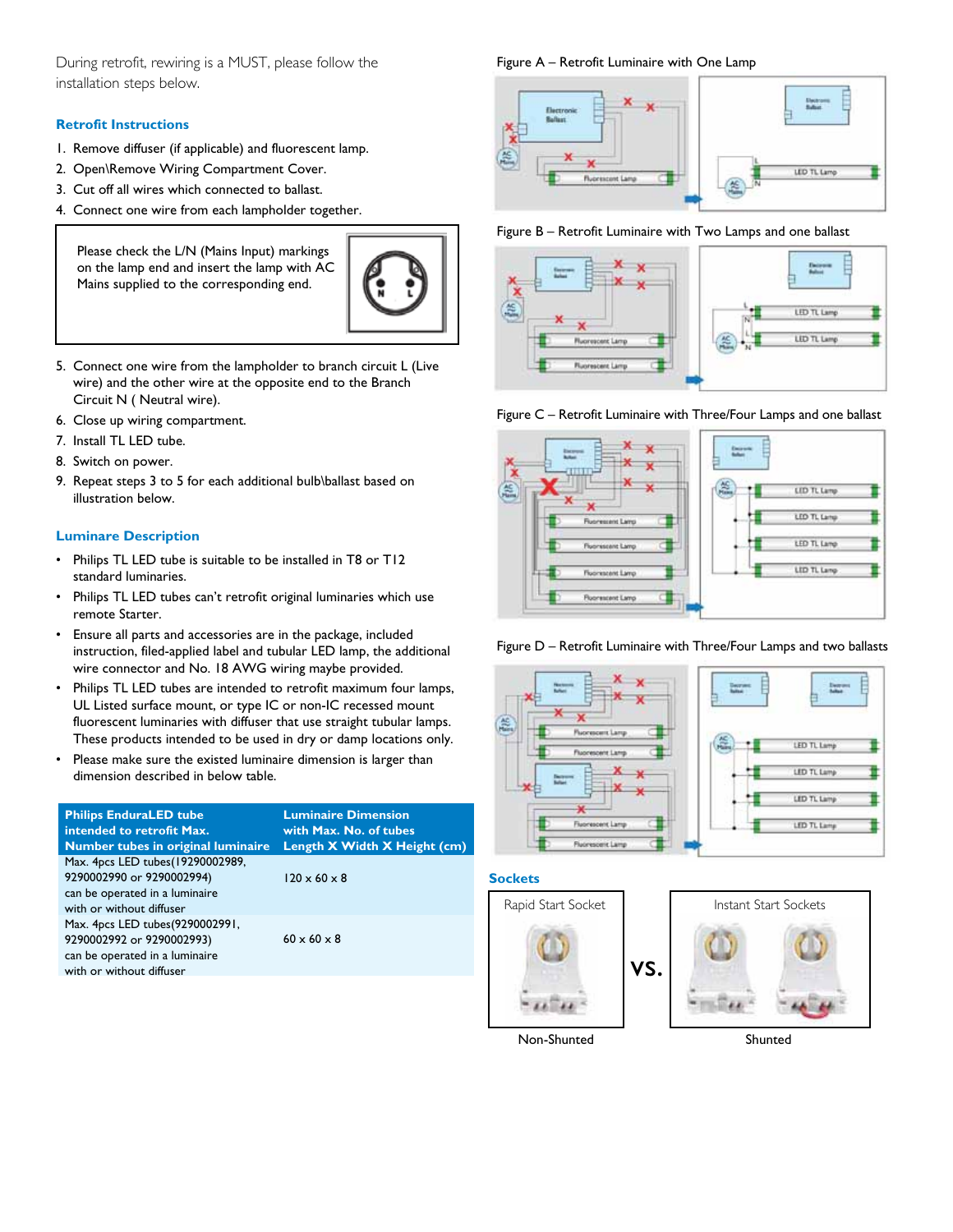During retrofit, rewiring is a MUST, please follow the installation steps below.

#### **Retrofit Instructions**

- 1. Remove diffuser (if applicable) and fluorescent lamp.
- 2. Open\Remove Wiring Compartment Cover.
- 3. Cut off all wires which connected to ballast.
- 4. Connect one wire from each lampholder together.

Please check the L/N (Mains Input) markings on the lamp end and insert the lamp with AC Mains supplied to the corresponding end.



- 5. Connect one wire from the lampholder to branch circuit L (Live wire) and the other wire at the opposite end to the Branch Circuit N ( Neutral wire).
- 6. Close up wiring compartment.
- 7. Install TL LED tube.
- 8. Switch on power.
- 9. Repeat steps 3 to 5 for each additional bulb\ballast based on illustration below.

### **Luminare Description**

- Philips TL LED tube is suitable to be installed in T8 or T12 standard luminaries.
- Philips TL LED tubes can't retrofit original luminaries which use remote Starter.
- Ensure all parts and accessories are in the package, included instruction, filed-applied label and tubular LED lamp, the additional wire connector and No. 18 AWG wiring maybe provided.
- Philips TL LED tubes are intended to retrofit maximum four lamps, UL Listed surface mount, or type IC or non-IC recessed mount fluorescent luminaries with diffuser that use straight tubular lamps. These products intended to be used in dry or damp locations only.
- Please make sure the existed luminaire dimension is larger than dimension described in below table.

| <b>Philips EnduraLED tube</b><br>intended to retrofit Max.<br>Number tubes in original luminaire                            | <b>Luminaire Dimension</b><br>with Max. No. of tubes<br>Length X Width X Height (cm) |
|-----------------------------------------------------------------------------------------------------------------------------|--------------------------------------------------------------------------------------|
| Max. 4pcs LED tubes(19290002989,<br>9290002990 or 9290002994)<br>can be operated in a luminaire<br>with or without diffuser | $120 \times 60 \times 8$                                                             |
| Max. 4pcs LED tubes(9290002991,<br>9290002992 or 9290002993)<br>can be operated in a luminaire<br>with or without diffuser  | $60 \times 60 \times 8$                                                              |

Figure A – Retrofit Luminaire with One Lamp



#### Figure B – Retrofit Luminaire with Two Lamps and one ballast











**Sockets**





Non-Shunted Shunted